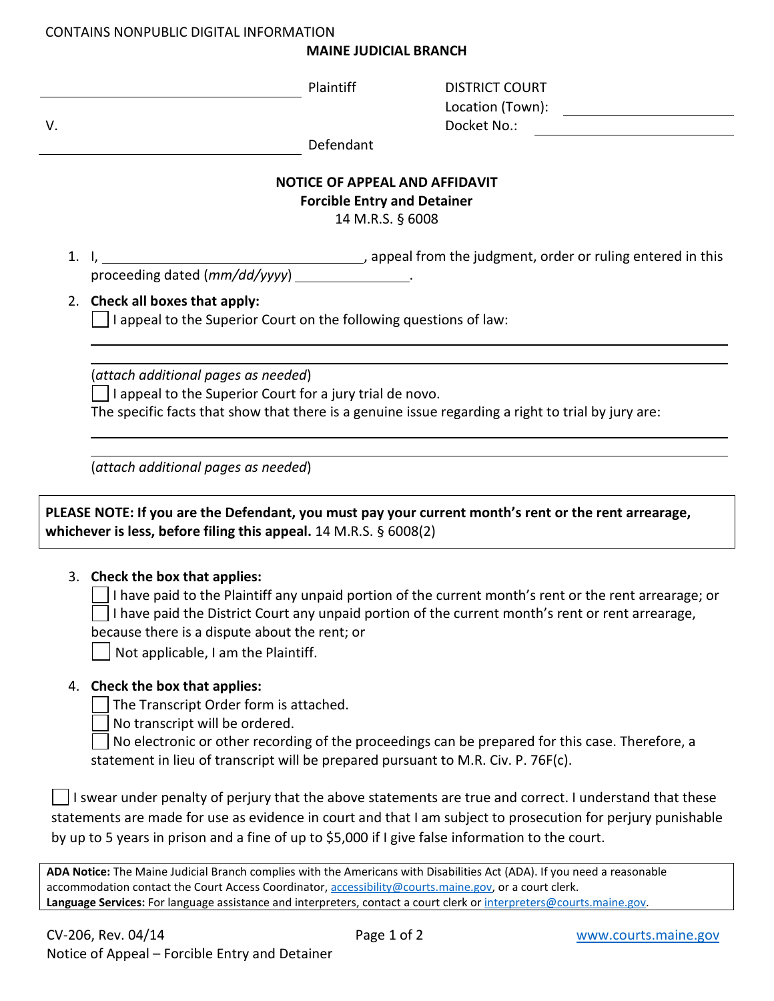## CONTAINS NONPUBLIC DIGITAL INFORMATION

## **MAINE JUDICIAL BRANCH**

| V.                                                                                                                                                                             | Plaintiff                                                                                                                                                                                             | <b>DISTRICT COURT</b><br>Location (Town):<br>Docket No.:                                                                                                                                                                 |  |  |
|--------------------------------------------------------------------------------------------------------------------------------------------------------------------------------|-------------------------------------------------------------------------------------------------------------------------------------------------------------------------------------------------------|--------------------------------------------------------------------------------------------------------------------------------------------------------------------------------------------------------------------------|--|--|
|                                                                                                                                                                                | Defendant                                                                                                                                                                                             |                                                                                                                                                                                                                          |  |  |
|                                                                                                                                                                                |                                                                                                                                                                                                       | <b>NOTICE OF APPEAL AND AFFIDAVIT</b><br><b>Forcible Entry and Detainer</b><br>14 M.R.S. § 6008                                                                                                                          |  |  |
|                                                                                                                                                                                | proceeding dated (mm/dd/yyyy) ________________.                                                                                                                                                       | appeal from the judgment, order or ruling entered in this (appeal from the judgment, order or ruling entered in this                                                                                                     |  |  |
|                                                                                                                                                                                | 2. Check all boxes that apply:<br>I appeal to the Superior Court on the following questions of law:                                                                                                   |                                                                                                                                                                                                                          |  |  |
|                                                                                                                                                                                | (attach additional pages as needed)<br>I appeal to the Superior Court for a jury trial de novo.<br>The specific facts that show that there is a genuine issue regarding a right to trial by jury are: |                                                                                                                                                                                                                          |  |  |
|                                                                                                                                                                                | (attach additional pages as needed)                                                                                                                                                                   |                                                                                                                                                                                                                          |  |  |
| PLEASE NOTE: If you are the Defendant, you must pay your current month's rent or the rent arrearage,<br>whichever is less, before filing this appeal. $14$ M.R.S. $\S$ 6008(2) |                                                                                                                                                                                                       |                                                                                                                                                                                                                          |  |  |
|                                                                                                                                                                                | 3. Check the box that applies:<br>because there is a dispute about the rent; or<br>Not applicable, I am the Plaintiff.                                                                                | I have paid to the Plaintiff any unpaid portion of the current month's rent or the rent arrearage; or<br>I have paid the District Court any unpaid portion of the current month's rent or rent arrearage,                |  |  |
|                                                                                                                                                                                | 4. Check the box that applies:<br>The Transcript Order form is attached.<br>No transcript will be ordered.<br>statement in lieu of transcript will be prepared pursuant to M.R. Civ. P. 76F(c).       | No electronic or other recording of the proceedings can be prepared for this case. Therefore, a                                                                                                                          |  |  |
|                                                                                                                                                                                | by up to 5 years in prison and a fine of up to \$5,000 if I give false information to the court.                                                                                                      | I swear under penalty of perjury that the above statements are true and correct. I understand that these<br>statements are made for use as evidence in court and that I am subject to prosecution for perjury punishable |  |  |

**ADA Notice:** The Maine Judicial Branch complies with the Americans with Disabilities Act (ADA). If you need a reasonable accommodation contact the Court Access Coordinator, [accessibility@courts.maine.gov,](mailto:accessibility@courts.maine.gov) or a court clerk. **Language Services:** For language assistance and interpreters, contact a court clerk o[r interpreters@courts.maine.gov.](mailto:interpreters@courts.maine.gov)